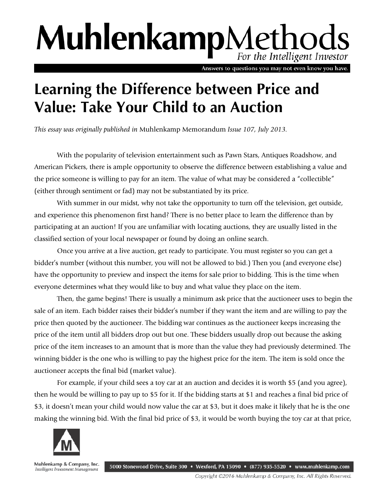## MuhlenkampMethod For the Intelligent Investor

Answers to questions you may not even know you have.

## **Learning the Difference between Price and Value: Take Your Child to an Auction**

*This essay was originally published in* Muhlenkamp Memorandum *Issue 107, July 2013.* 

With the popularity of television entertainment such as Pawn Stars, Antiques Roadshow, and American Pickers, there is ample opportunity to observe the difference between establishing a value and the price someone is willing to pay for an item. The value of what may be considered a "collectible" (either through sentiment or fad) may not be substantiated by its price.

With summer in our midst, why not take the opportunity to turn off the television, get outside, and experience this phenomenon first hand? There is no better place to learn the difference than by participating at an auction! If you are unfamiliar with locating auctions, they are usually listed in the classified section of your local newspaper or found by doing an online search.

Once you arrive at a live auction, get ready to participate. You must register so you can get a bidder's number (without this number, you will not be allowed to bid.) Then you (and everyone else) have the opportunity to preview and inspect the items for sale prior to bidding. This is the time when everyone determines what they would like to buy and what value they place on the item.

Then, the game begins! There is usually a minimum ask price that the auctioneer uses to begin the sale of an item. Each bidder raises their bidder's number if they want the item and are willing to pay the price then quoted by the auctioneer. The bidding war continues as the auctioneer keeps increasing the price of the item until all bidders drop out but one. These bidders usually drop out because the asking price of the item increases to an amount that is more than the value they had previously determined. The winning bidder is the one who is willing to pay the highest price for the item. The item is sold once the auctioneer accepts the final bid (market value).

For example, if your child sees a toy car at an auction and decides it is worth \$5 (and you agree), then he would be willing to pay up to \$5 for it. If the bidding starts at \$1 and reaches a final bid price of \$3, it doesn't mean your child would now value the car at \$3, but it does make it likely that he is the one making the winning bid. With the final bid price of \$3, it would be worth buying the toy car at that price,



Muhlenkamp & Company, Inc. 5000 Stonewood Drive, Suite 300 • Wexford, PA 15090 • (877) 935-5520 • www.muhlenkamp.com Intelligent Investment Management

Copyright ©2016 Muhlenkamp & Company, Inc. All Rights Reserved.